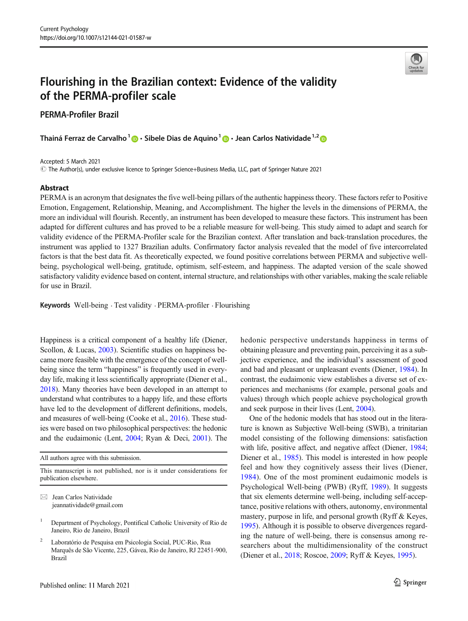# Flourishing in the Brazilian context: Evidence of the validity of the PERMA-profiler scale

PERMA-Profiler Brazil

Thainá Ferraz de Carvalho<sup>1</sup>  $\bigcirc$  · Sibele Dias de Aquino<sup>1</sup>  $\bigcirc$  · Jean Carlos Natividade<sup>1,2</sup>  $\bigcirc$ 

Accepted: 5 March 2021

© The Author(s), under exclusive licence to Springer Science+Business Media, LLC, part of Springer Nature 2021

### Abstract

PERMA is an acronym that designates the five well-being pillars of the authentic happiness theory. These factors refer to Positive Emotion, Engagement, Relationship, Meaning, and Accomplishment. The higher the levels in the dimensions of PERMA, the more an individual will flourish. Recently, an instrument has been developed to measure these factors. This instrument has been adapted for different cultures and has proved to be a reliable measure for well-being. This study aimed to adapt and search for validity evidence of the PERMA-Profiler scale for the Brazilian context. After translation and back-translation procedures, the instrument was applied to 1327 Brazilian adults. Confirmatory factor analysis revealed that the model of five intercorrelated factors is that the best data fit. As theoretically expected, we found positive correlations between PERMA and subjective wellbeing, psychological well-being, gratitude, optimism, self-esteem, and happiness. The adapted version of the scale showed satisfactory validity evidence based on content, internal structure, and relationships with other variables, making the scale reliable for use in Brazil.

Keywords Well-being . Test validity . PERMA-profiler . Flourishing

Happiness is a critical component of a healthy life (Diener, Scollon, & Lucas, [2003\)](#page-10-0). Scientific studies on happiness became more feasible with the emergence of the concept of wellbeing since the term "happiness" is frequently used in everyday life, making it less scientifically appropriate (Diener et al., [2018\)](#page-10-0). Many theories have been developed in an attempt to understand what contributes to a happy life, and these efforts have led to the development of different definitions, models, and measures of well-being (Cooke et al., [2016\)](#page-10-0). These studies were based on two philosophical perspectives: the hedonic and the eudaimonic (Lent, [2004](#page-11-0); Ryan & Deci, [2001\)](#page-12-0). The hedonic perspective understands happiness in terms of obtaining pleasure and preventing pain, perceiving it as a subjective experience, and the individual's assessment of good and bad and pleasant or unpleasant events (Diener, [1984\)](#page-10-0). In contrast, the eudaimonic view establishes a diverse set of experiences and mechanisms (for example, personal goals and values) through which people achieve psychological growth and seek purpose in their lives (Lent, [2004\)](#page-11-0).

One of the hedonic models that has stood out in the literature is known as Subjective Well-being (SWB), a trinitarian model consisting of the following dimensions: satisfaction with life, positive affect, and negative affect (Diener, [1984;](#page-10-0) Diener et al., [1985](#page-10-0)). This model is interested in how people feel and how they cognitively assess their lives (Diener, [1984](#page-10-0)). One of the most prominent eudaimonic models is Psychological Well-being (PWB) (Ryff, [1989\)](#page-12-0). It suggests that six elements determine well-being, including self-acceptance, positive relations with others, autonomy, environmental mastery, purpose in life, and personal growth (Ryff & Keyes, [1995\)](#page-12-0). Although it is possible to observe divergences regarding the nature of well-being, there is consensus among researchers about the multidimensionality of the construct (Diener et al., [2018;](#page-10-0) Roscoe, [2009](#page-11-0); Ryff & Keyes, [1995](#page-12-0)).



All authors agree with this submission.

This manuscript is not published, nor is it under considerations for publication elsewhere.

 $\boxtimes$  Jean Carlos Natividade [jeannatividade@gmail.com](mailto:jeannatividade@gmail.com)

<sup>1</sup> Department of Psychology, Pontifical Catholic University of Rio de Janeiro, Rio de Janeiro, Brazil

<sup>2</sup> Laboratório de Pesquisa em Psicologia Social, PUC-Rio, Rua Marquês de São Vicente, 225, Gávea, Rio de Janeiro, RJ 22451-900, Brazil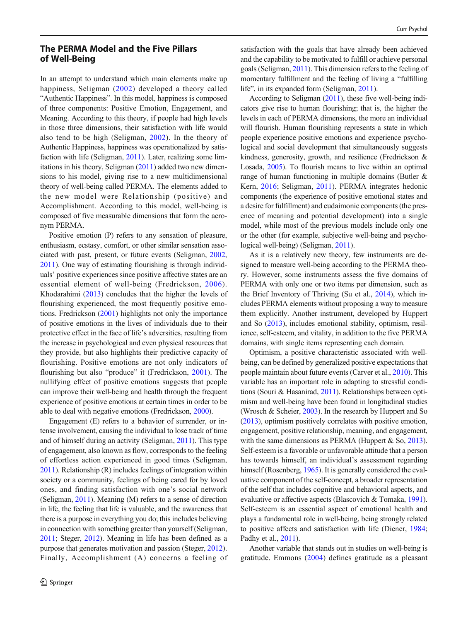# The PERMA Model and the Five Pillars of Well-Being

In an attempt to understand which main elements make up happiness, Seligman [\(2002\)](#page-12-0) developed a theory called "Authentic Happiness". In this model, happiness is composed of three components: Positive Emotion, Engagement, and Meaning. According to this theory, if people had high levels in those three dimensions, their satisfaction with life would also tend to be high (Seligman, [2002](#page-12-0)). In the theory of Authentic Happiness, happiness was operationalized by satisfaction with life (Seligman, [2011](#page-12-0)). Later, realizing some limitations in his theory, Seligman [\(2011\)](#page-12-0) added two new dimensions to his model, giving rise to a new multidimensional theory of well-being called PERMA. The elements added to the new model were Relationship (positive) and Accomplishment. According to this model, well-being is composed of five measurable dimensions that form the acronym PERMA.

Positive emotion (P) refers to any sensation of pleasure, enthusiasm, ecstasy, comfort, or other similar sensation associated with past, present, or future events (Seligman, [2002,](#page-12-0) [2011\)](#page-12-0). One way of estimating flourishing is through individuals' positive experiences since positive affective states are an essential element of well-being (Fredrickson, [2006\)](#page-11-0). Khodarahimi ([2013](#page-11-0)) concludes that the higher the levels of flourishing experienced, the most frequently positive emotions. Fredrickson ([2001](#page-11-0)) highlights not only the importance of positive emotions in the lives of individuals due to their protective effect in the face of life's adversities, resulting from the increase in psychological and even physical resources that they provide, but also highlights their predictive capacity of flourishing. Positive emotions are not only indicators of flourishing but also "produce" it (Fredrickson, [2001](#page-11-0)). The nullifying effect of positive emotions suggests that people can improve their well-being and health through the frequent experience of positive emotions at certain times in order to be able to deal with negative emotions (Fredrickson, [2000\)](#page-11-0).

Engagement (E) refers to a behavior of surrender, or intense involvement, causing the individual to lose track of time and of himself during an activity (Seligman, [2011\)](#page-12-0). This type of engagement, also known as flow, corresponds to the feeling of effortless action experienced in good times (Seligman, [2011\)](#page-12-0). Relationship (R) includes feelings of integration within society or a community, feelings of being cared for by loved ones, and finding satisfaction with one's social network (Seligman, [2011](#page-12-0)). Meaning (M) refers to a sense of direction in life, the feeling that life is valuable, and the awareness that there is a purpose in everything you do; this includes believing in connection with something greater than yourself (Seligman, [2011;](#page-12-0) Steger, [2012](#page-12-0)). Meaning in life has been defined as a purpose that generates motivation and passion (Steger, [2012\)](#page-12-0). Finally, Accomplishment (A) concerns a feeling of satisfaction with the goals that have already been achieved and the capability to be motivated to fulfill or achieve personal goals (Seligman, [2011](#page-12-0)). This dimension refers to the feeling of momentary fulfillment and the feeling of living a "fulfilling life", in its expanded form (Seligman, [2011\)](#page-12-0).

According to Seligman ([2011](#page-12-0)), these five well-being indicators give rise to human flourishing; that is, the higher the levels in each of PERMA dimensions, the more an individual will flourish. Human flourishing represents a state in which people experience positive emotions and experience psychological and social development that simultaneously suggests kindness, generosity, growth, and resilience (Fredrickson & Losada, [2005\)](#page-11-0). To flourish means to live within an optimal range of human functioning in multiple domains (Butler & Kern, [2016](#page-10-0); Seligman, [2011\)](#page-12-0). PERMA integrates hedonic components (the experience of positive emotional states and a desire for fulfillment) and eudaimonic components (the presence of meaning and potential development) into a single model, while most of the previous models include only one or the other (for example, subjective well-being and psychological well-being) (Seligman, [2011](#page-12-0)).

As it is a relatively new theory, few instruments are designed to measure well-being according to the PERMA theory. However, some instruments assess the five domains of PERMA with only one or two items per dimension, such as the Brief Inventory of Thriving (Su et al., [2014](#page-12-0)), which includes PERMA elements without proposing a way to measure them explicitly. Another instrument, developed by Huppert and So [\(2013\)](#page-11-0), includes emotional stability, optimism, resilience, self-esteem, and vitality, in addition to the five PERMA domains, with single items representing each domain.

Optimism, a positive characteristic associated with wellbeing, can be defined by generalized positive expectations that people maintain about future events (Carver et al., [2010](#page-10-0)). This variable has an important role in adapting to stressful conditions (Souri & Hasanirad, [2011\)](#page-12-0). Relationships between optimism and well-being have been found in longitudinal studies (Wrosch & Scheier, [2003\)](#page-12-0). In the research by Huppert and So [\(2013\)](#page-11-0), optimism positively correlates with positive emotion, engagement, positive relationship, meaning, and engagement, with the same dimensions as PERMA (Huppert & So, [2013\)](#page-11-0). Self-esteem is a favorable or unfavorable attitude that a person has towards himself, an individual's assessment regarding himself (Rosenberg, [1965\)](#page-11-0). It is generally considered the evaluative component of the self-concept, a broader representation of the self that includes cognitive and behavioral aspects, and evaluative or affective aspects (Blascovich & Tomaka, [1991\)](#page-10-0). Self-esteem is an essential aspect of emotional health and plays a fundamental role in well-being, being strongly related to positive affects and satisfaction with life (Diener, [1984;](#page-10-0) Padhy et al., [2011\)](#page-11-0).

Another variable that stands out in studies on well-being is gratitude. Emmons ([2004](#page-10-0)) defines gratitude as a pleasant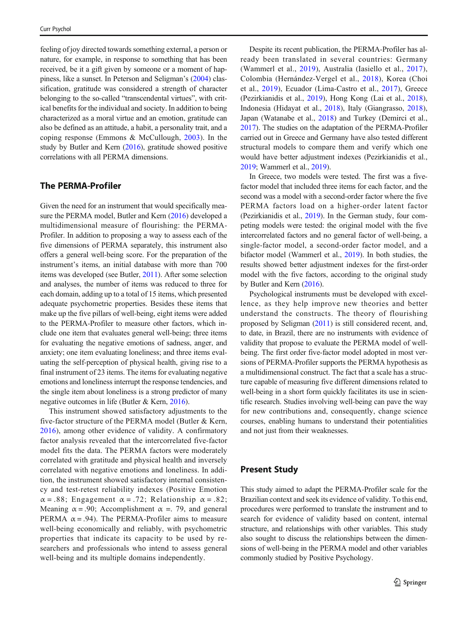feeling of joy directed towards something external, a person or nature, for example, in response to something that has been received, be it a gift given by someone or a moment of happiness, like a sunset. In Peterson and Seligman's ([2004](#page-11-0)) classification, gratitude was considered a strength of character belonging to the so-called "transcendental virtues", with critical benefits for the individual and society. In addition to being characterized as a moral virtue and an emotion, gratitude can also be defined as an attitude, a habit, a personality trait, and a coping response (Emmons & McCullough, [2003\)](#page-10-0). In the study by Butler and Kern [\(2016\)](#page-10-0), gratitude showed positive correlations with all PERMA dimensions.

## The PERMA-Profiler

Given the need for an instrument that would specifically measure the PERMA model, Butler and Kern [\(2016\)](#page-10-0) developed a multidimensional measure of flourishing: the PERMA-Profiler. In addition to proposing a way to assess each of the five dimensions of PERMA separately, this instrument also offers a general well-being score. For the preparation of the instrument's items, an initial database with more than 700 items was developed (see Butler, [2011\)](#page-10-0). After some selection and analyses, the number of items was reduced to three for each domain, adding up to a total of 15 items, which presented adequate psychometric properties. Besides these items that make up the five pillars of well-being, eight items were added to the PERMA-Profiler to measure other factors, which include one item that evaluates general well-being; three items for evaluating the negative emotions of sadness, anger, and anxiety; one item evaluating loneliness; and three items evaluating the self-perception of physical health, giving rise to a final instrument of 23 items. The items for evaluating negative emotions and loneliness interrupt the response tendencies, and the single item about loneliness is a strong predictor of many negative outcomes in life (Butler & Kern, [2016\)](#page-10-0).

This instrument showed satisfactory adjustments to the five-factor structure of the PERMA model (Butler & Kern, [2016](#page-10-0)), among other evidence of validity. A confirmatory factor analysis revealed that the intercorrelated five-factor model fits the data. The PERMA factors were moderately correlated with gratitude and physical health and inversely correlated with negative emotions and loneliness. In addition, the instrument showed satisfactory internal consistency and test-retest reliability indexes (Positive Emotion  $\alpha = .88$ ; Engagement  $\alpha = .72$ ; Relationship  $\alpha = .82$ ; Meaning  $\alpha = .90$ ; Accomplishment  $\alpha = .79$ , and general PERMA  $\alpha$  = .94). The PERMA-Profiler aims to measure well-being economically and reliably, with psychometric properties that indicate its capacity to be used by researchers and professionals who intend to assess general well-being and its multiple domains independently.

Despite its recent publication, the PERMA-Profiler has already been translated in several countries: Germany (Wammerl et al., [2019\)](#page-12-0), Australia (Iasiello et al., [2017](#page-11-0)), Colombia (Hernández-Vergel et al., [2018](#page-11-0)), Korea (Choi et al., [2019\)](#page-10-0), Ecuador (Lima-Castro et al., [2017](#page-11-0)), Greece (Pezirkianidis et al., [2019\)](#page-11-0), Hong Kong (Lai et al., [2018\)](#page-11-0), Indonesia (Hidayat et al., [2018](#page-11-0)), Italy (Giangrasso, [2018\)](#page-11-0), Japan (Watanabe et al., [2018](#page-12-0)) and Turkey (Demirci et al., [2017\)](#page-10-0). The studies on the adaptation of the PERMA-Profiler carried out in Greece and Germany have also tested different structural models to compare them and verify which one would have better adjustment indexes (Pezirkianidis et al., [2019;](#page-11-0) Wammerl et al., [2019\)](#page-12-0).

In Greece, two models were tested. The first was a fivefactor model that included three items for each factor, and the second was a model with a second-order factor where the five PERMA factors load on a higher-order latent factor (Pezirkianidis et al., [2019\)](#page-11-0). In the German study, four competing models were tested: the original model with the five intercorrelated factors and no general factor of well-being, a single-factor model, a second-order factor model, and a bifactor model (Wammerl et al., [2019](#page-12-0)). In both studies, the results showed better adjustment indexes for the first-order model with the five factors, according to the original study by Butler and Kern [\(2016\)](#page-10-0).

Psychological instruments must be developed with excellence, as they help improve new theories and better understand the constructs. The theory of flourishing proposed by Seligman ([2011](#page-12-0)) is still considered recent, and, to date, in Brazil, there are no instruments with evidence of validity that propose to evaluate the PERMA model of wellbeing. The first order five-factor model adopted in most versions of PERMA-Profiler supports the PERMA hypothesis as a multidimensional construct. The fact that a scale has a structure capable of measuring five different dimensions related to well-being in a short form quickly facilitates its use in scientific research. Studies involving well-being can pave the way for new contributions and, consequently, change science courses, enabling humans to understand their potentialities and not just from their weaknesses.

# Present Study

This study aimed to adapt the PERMA-Profiler scale for the Brazilian context and seek its evidence of validity. To this end, procedures were performed to translate the instrument and to search for evidence of validity based on content, internal structure, and relationships with other variables. This study also sought to discuss the relationships between the dimensions of well-being in the PERMA model and other variables commonly studied by Positive Psychology.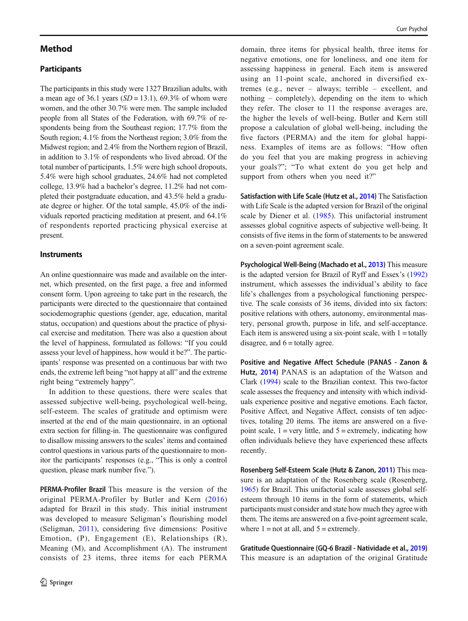## Method

## **Participants**

The participants in this study were 1327 Brazilian adults, with a mean age of 36.1 years  $(SD = 13.1)$ , 69.3% of whom were women, and the other 30.7% were men. The sample included people from all States of the Federation, with 69.7% of respondents being from the Southeast region; 17.7% from the South region; 4.1% from the Northeast region; 3.0% from the Midwest region; and 2.4% from the Northern region of Brazil, in addition to 3.1% of respondents who lived abroad. Of the total number of participants, 1.5% were high school dropouts, 5.4% were high school graduates, 24.6% had not completed college, 13.9% had a bachelor's degree, 11.2% had not completed their postgraduate education, and 43.5% held a graduate degree or higher. Of the total sample, 45.0% of the individuals reported practicing meditation at present, and 64.1% of respondents reported practicing physical exercise at present.

#### **Instruments**

An online questionnaire was made and available on the internet, which presented, on the first page, a free and informed consent form. Upon agreeing to take part in the research, the participants were directed to the questionnaire that contained sociodemographic questions (gender, age, education, marital status, occupation) and questions about the practice of physical exercise and meditation. There was also a question about the level of happiness, formulated as follows: "If you could assess your level of happiness, how would it be?". The participants' response was presented on a continuous bar with two ends, the extreme left being "not happy at all" and the extreme right being "extremely happy".

In addition to these questions, there were scales that assessed subjective well-being, psychological well-being, self-esteem. The scales of gratitude and optimism were inserted at the end of the main questionnaire, in an optional extra section for filling-in. The questionnaire was configured to disallow missing answers to the scales' items and contained control questions in various parts of the questionnaire to monitor the participants' responses (e.g., "This is only a control question, please mark number five.").

PERMA-Profiler Brazil This measure is the version of the original PERMA-Profiler by Butler and Kern ([2016\)](#page-10-0) adapted for Brazil in this study. This initial instrument was developed to measure Seligman's flourishing model (Seligman, [2011](#page-12-0)), considering five dimensions: Positive Emotion, (P), Engagement (E), Relationships (R), Meaning (M), and Accomplishment (A). The instrument consists of 23 items, three items for each PERMA domain, three items for physical health, three items for negative emotions, one for loneliness, and one item for assessing happiness in general. Each item is answered using an 11-point scale, anchored in diversified extremes (e.g., never – always; terrible – excellent, and nothing – completely), depending on the item to which they refer. The closer to 11 the response averages are, the higher the levels of well-being. Butler and Kern still propose a calculation of global well-being, including the five factors (PERMA) and the item for global happiness. Examples of items are as follows: "How often do you feel that you are making progress in achieving your goals?"; "To what extent do you get help and support from others when you need it?"

Satisfaction with Life Scale (Hutz et al., [2014\)](#page-11-0) The Satisfaction with Life Scale is the adapted version for Brazil of the original scale by Diener et al. ([1985\)](#page-10-0). This unifactorial instrument assesses global cognitive aspects of subjective well-being. It consists of five items in the form of statements to be answered on a seven-point agreement scale.

Psychological Well-Being (Machado et al., [2013](#page-11-0)) This measure is the adapted version for Brazil of Ryff and Essex's [\(1992](#page-12-0)) instrument, which assesses the individual's ability to face life's challenges from a psychological functioning perspective. The scale consists of 36 items, divided into six factors: positive relations with others, autonomy, environmental mastery, personal growth, purpose in life, and self-acceptance. Each item is answered using a six-point scale, with  $1 =$  totally disagree, and  $6 =$  totally agree.

Positive and Negative Affect Schedule (PANAS - Zanon & Hutz, [2014\)](#page-12-0) PANAS is an adaptation of the Watson and Clark [\(1994\)](#page-12-0) scale to the Brazilian context. This two-factor scale assesses the frequency and intensity with which individuals experience positive and negative emotions. Each factor, Positive Affect, and Negative Affect, consists of ten adjectives, totaling 20 items. The items are answered on a fivepoint scale,  $1 = \text{very little, and } 5 = \text{extremely, indicating how}$ often individuals believe they have experienced these affects recently.

Rosenberg Self-Esteem Scale (Hutz & Zanon, [2011](#page-11-0)) This measure is an adaptation of the Rosenberg scale (Rosenberg, [1965\)](#page-11-0) for Brazil. This unifactorial scale assesses global selfesteem through 10 items in the form of statements, which participants must consider and state how much they agree with them. The items are answered on a five-point agreement scale, where  $1 = not$  at all, and  $5 =$  extremely.

Gratitude Questionnaire (GQ-6 Brazil - Natividade et al., [2019](#page-11-0)) This measure is an adaptation of the original Gratitude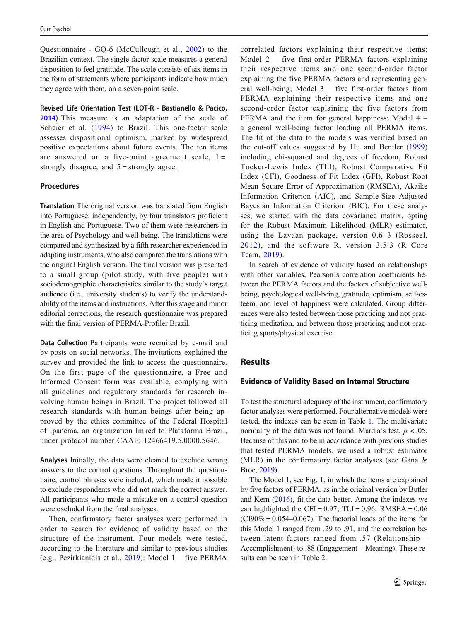Questionnaire - GQ-6 (McCullough et al., [2002](#page-11-0)) to the Brazilian context. The single-factor scale measures a general disposition to feel gratitude. The scale consists of six items in the form of statements where participants indicate how much they agree with them, on a seven-point scale.

Revised Life Orientation Test (LOT-R - Bastianello & Pacico, [2014\)](#page-10-0) This measure is an adaptation of the scale of Scheier et al. ([1994\)](#page-12-0) to Brazil. This one-factor scale assesses dispositional optimism, marked by widespread positive expectations about future events. The ten items are answered on a five-point agreement scale,  $1 =$ strongly disagree, and  $5 =$  strongly agree.

### Procedures

Translation The original version was translated from English into Portuguese, independently, by four translators proficient in English and Portuguese. Two of them were researchers in the area of Psychology and well-being. The translations were compared and synthesized by a fifth researcher experienced in adapting instruments, who also compared the translations with the original English version. The final version was presented to a small group (pilot study, with five people) with sociodemographic characteristics similar to the study's target audience (i.e., university students) to verify the understandability of the items and instructions. After this stage and minor editorial corrections, the research questionnaire was prepared with the final version of PERMA-Profiler Brazil.

Data Collection Participants were recruited by e-mail and by posts on social networks. The invitations explained the survey and provided the link to access the questionnaire. On the first page of the questionnaire, a Free and Informed Consent form was available, complying with all guidelines and regulatory standards for research involving human beings in Brazil. The project followed all research standards with human beings after being approved by the ethics committee of the Federal Hospital of Ipanema, an organization linked to Plataforma Brazil, under protocol number CAAE: 12466419.5.0000.5646.

Analyses Initially, the data were cleaned to exclude wrong answers to the control questions. Throughout the questionnaire, control phrases were included, which made it possible to exclude respondents who did not mark the correct answer. All participants who made a mistake on a control question were excluded from the final analyses.

Then, confirmatory factor analyses were performed in order to search for evidence of validity based on the structure of the instrument. Four models were tested, according to the literature and similar to previous studies (e.g., Pezirkianidis et al., [2019\)](#page-11-0): Model 1 – five PERMA correlated factors explaining their respective items; Model 2 – five first-order PERMA factors explaining their respective items and one second-order factor explaining the five PERMA factors and representing general well-being; Model 3 – five first-order factors from PERMA explaining their respective items and one second-order factor explaining the five factors from PERMA and the item for general happiness; Model 4 – a general well-being factor loading all PERMA items. The fit of the data to the models was verified based on the cut-off values suggested by Hu and Bentler ([1999](#page-11-0)) including chi-squared and degrees of freedom, Robust Tucker-Lewis Index (TLI), Robust Comparative Fit Index (CFI), Goodness of Fit Index (GFI), Robust Root Mean Square Error of Approximation (RMSEA), Akaike Information Criterion (AIC), and Sample-Size Adjusted Bayesian Information Criterion. (BIC). For these analyses, we started with the data covariance matrix, opting for the Robust Maximum Likelihood (MLR) estimator, using the Lavaan package, version 0.6–3 (Rosseel, [2012](#page-12-0)), and the software R, version 3.5.3 (R Core Team, [2019\)](#page-11-0).

In search of evidence of validity based on relationships with other variables, Pearson's correlation coefficients between the PERMA factors and the factors of subjective wellbeing, psychological well-being, gratitude, optimism, self-esteem, and level of happiness were calculated. Group differences were also tested between those practicing and not practicing meditation, and between those practicing and not practicing sports/physical exercise.

### Results

#### Evidence of Validity Based on Internal Structure

To test the structural adequacy of the instrument, confirmatory factor analyses were performed. Four alternative models were tested, the indexes can be seen in Table [1.](#page-5-0) The multivariate normality of the data was not found, Mardia's test,  $p < .05$ . Because of this and to be in accordance with previous studies that tested PERMA models, we used a robust estimator (MLR) in the confirmatory factor analyses (see Gana & Broc, [2019\)](#page-11-0).

The Model 1, see Fig. [1,](#page-5-0) in which the items are explained by five factors of PERMA, as in the original version by Butler and Kern ([2016](#page-10-0)), fit the data better. Among the indexes we can highlighted the CFI =  $0.97$ ; TLI =  $0.96$ ; RMSEA =  $0.06$  $(CI90\% = 0.054 - 0.067)$ . The factorial loads of the items for this Model 1 ranged from .29 to .91, and the correlation between latent factors ranged from .57 (Relationship – Accomplishment) to .88 (Engagement – Meaning). These results can be seen in Table [2.](#page-6-0)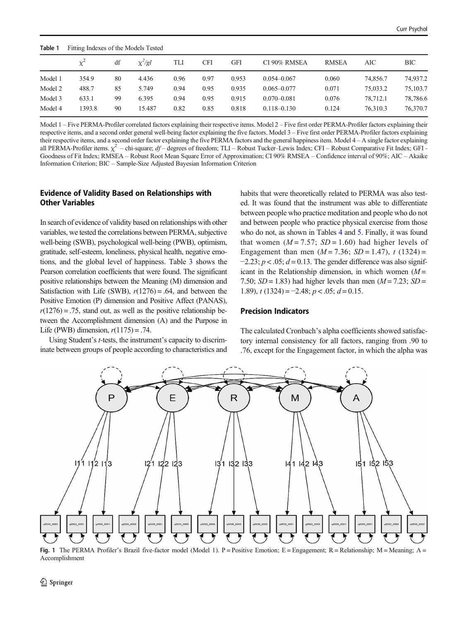<span id="page-5-0"></span>

| Table 1 | Fitting Indexes of the Models Tested |    |              |      |      |       |                 |              |          |          |
|---------|--------------------------------------|----|--------------|------|------|-------|-----------------|--------------|----------|----------|
|         | $\chi^2$                             | df | $\chi^2$ /gl | TLI  | CFI  | GFI   | CI 90% RMSEA    | <b>RMSEA</b> | AIC      | BIC      |
| Model 1 | 354.9                                | 80 | 4.436        | 0.96 | 0.97 | 0.953 | $0.054 - 0.067$ | 0.060        | 74,856.7 | 74,937.2 |
| Model 2 | 488.7                                | 85 | 5.749        | 0.94 | 0.95 | 0.935 | $0.065 - 0.077$ | 0.071        | 75,033.2 | 75,103.7 |
| Model 3 | 633.1                                | 99 | 6.395        | 0.94 | 0.95 | 0.915 | $0.070 - 0.081$ | 0.076        | 78,712.1 | 78,786.6 |
| Model 4 | 1393.8                               | 90 | 15.487       | 0.82 | 0.85 | 0.818 | $0.118 - 0.130$ | 0.124        | 76.310.3 | 76,370.7 |

Model 1 – Five PERMA-Profiler correlated factors explaining their respective items. Model 2 – Five first order PERMA-Profiler factors explaining their respective items, and a second order general well-being factor explaining the five factors. Model 3 – Five first order PERMA-Profiler factors explaining their respective items, and a second order factor explaining the five PERMA factors and the general happiness item. Model 4 – A single factor explaining all PERMA-Profiler items.  $\chi^2$  – chi-square; df – degrees of freedom; TLI – Robust Tucker–Lewis Index; CFI – Robust Comparative Fit Index; GFI – Goodness of Fit Index; RMSEA – Robust Root Mean Square Error of Approximation; CI 90% RMSEA – Confidence interval of 90%; AIC – Akaike Information Criterion; BIC – Sample-Size Adjusted Bayesian Information Criterion

## Evidence of Validity Based on Relationships with Other Variables

In search of evidence of validity based on relationships with other variables, we tested the correlations between PERMA, subjective well-being (SWB), psychological well-being (PWB), optimism, gratitude, self-esteem, loneliness, physical health, negative emotions, and the global level of happiness. Table [3](#page-7-0) shows the Pearson correlation coefficients that were found. The significant positive relationships between the Meaning (M) dimension and Satisfaction with Life (SWB),  $r(1276) = .64$ , and between the Positive Emotion (P) dimension and Positive Affect (PANAS),  $r(1276) = .75$ , stand out, as well as the positive relationship between the Accomplishment dimension (A) and the Purpose in Life (PWB) dimension,  $r(1175) = .74$ .

Using Student's t-tests, the instrument's capacity to discriminate between groups of people according to characteristics and habits that were theoretically related to PERMA was also tested. It was found that the instrument was able to differentiate between people who practice meditation and people who do not and between people who practice physical exercise from those who do not, as shown in Tables [4](#page-8-0) and [5.](#page-8-0) Finally, it was found that women  $(M = 7.57; SD = 1.60)$  had higher levels of Engagement than men  $(M = 7.36; SD = 1.47)$ , t  $(1324) =$  $-2.23$ ;  $p < .05$ ;  $d = 0.13$ . The gender difference was also significant in the Relationship dimension, in which women  $(M =$ 7.50;  $SD = 1.83$ ) had higher levels than men  $(M = 7.23; SD =$ 1.89),  $t(1324) = -2.48$ ;  $p < .05$ ;  $d = 0.15$ .

#### Precision Indicators

The calculated Cronbach's alpha coefficients showed satisfactory internal consistency for all factors, ranging from .90 to .76, except for the Engagement factor, in which the alpha was



Fig. 1 The PERMA Profiler's Brazil five-factor model (Model 1). P = Positive Emotion; E = Engagement; R = Relationship; M = Meaning; A = Accomplishment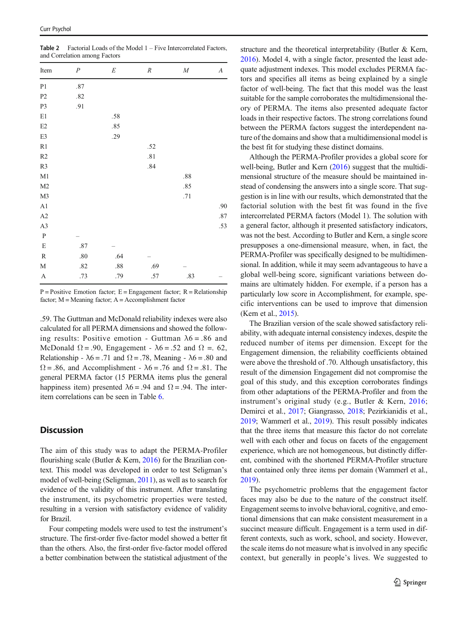<span id="page-6-0"></span>Table 2 Factorial Loads of the Model 1 – Five Intercorrelated Factors, and Correlation among Factors

| Item                   | $\boldsymbol{P}$ | $\cal E$ | $\it R$ | $\cal M$ | $\boldsymbol{A}$ |
|------------------------|------------------|----------|---------|----------|------------------|
| P <sub>1</sub>         | $.87\,$          |          |         |          |                  |
| P <sub>2</sub>         | $.82\,$          |          |         |          |                  |
| P <sub>3</sub>         | .91              |          |         |          |                  |
| $\rm E1$               |                  | .58      |         |          |                  |
| $\mathop{\mathrm{E2}}$ |                  | .85      |         |          |                  |
| E3                     |                  | .29      |         |          |                  |
| R1                     |                  |          | .52     |          |                  |
| R2                     |                  |          | .81     |          |                  |
| R3                     |                  |          | .84     |          |                  |
| M1                     |                  |          |         | $.88\,$  |                  |
| M <sub>2</sub>         |                  |          |         | .85      |                  |
| M3                     |                  |          |         | .71      |                  |
| A1                     |                  |          |         |          | .90              |
| A2                     |                  |          |         |          | .87              |
| A3                     |                  |          |         |          | .53              |
| ${\bf P}$              |                  |          |         |          |                  |
| $\mathbf E$            | $.87\,$          |          |         |          |                  |
| ${\mathbb R}$          | $.80\,$          | .64      |         |          |                  |
| M                      | .82              | $.88\,$  | .69     |          |                  |
| $\boldsymbol{\rm{A}}$  | .73              | .79      | .57     | .83      |                  |

 $P = Positive$  Emotion factor;  $E = Engagement$  factor;  $R = Relationship$ factor;  $M =$  Meaning factor;  $A =$  Accomplishment factor

.59. The Guttman and McDonald reliability indexes were also calculated for all PERMA dimensions and showed the following results: Positive emotion - Guttman  $\lambda$ 6 = .86 and McDonald  $\Omega = .90$ , Engagement -  $\lambda$ 6 = .52 and  $\Omega = .62$ , Relationship -  $\lambda$ 6 = .71 and  $\Omega$  = .78, Meaning -  $\lambda$ 6 = .80 and  $\Omega = .86$ , and Accomplishment -  $\lambda 6 = .76$  and  $\Omega = .81$ . The general PERMA factor (15 PERMA items plus the general happiness item) presented  $\lambda$ 6 = .94 and  $\Omega$  = .94. The interitem correlations can be seen in Table [6](#page-9-0).

## **Discussion**

The aim of this study was to adapt the PERMA-Profiler flourishing scale (Butler & Kern, [2016\)](#page-10-0) for the Brazilian context. This model was developed in order to test Seligman's model of well-being (Seligman, [2011\)](#page-12-0), as well as to search for evidence of the validity of this instrument. After translating the instrument, its psychometric properties were tested, resulting in a version with satisfactory evidence of validity for Brazil.

Four competing models were used to test the instrument's structure. The first-order five-factor model showed a better fit than the others. Also, the first-order five-factor model offered a better combination between the statistical adjustment of the structure and the theoretical interpretability (Butler & Kern, [2016\)](#page-10-0). Model 4, with a single factor, presented the least adequate adjustment indexes. This model excludes PERMA factors and specifies all items as being explained by a single factor of well-being. The fact that this model was the least suitable for the sample corroborates the multidimensional theory of PERMA. The items also presented adequate factor loads in their respective factors. The strong correlations found between the PERMA factors suggest the interdependent nature of the domains and show that a multidimensional model is the best fit for studying these distinct domains.

Although the PERMA-Profiler provides a global score for well-being, Butler and Kern ([2016](#page-10-0)) suggest that the multidimensional structure of the measure should be maintained instead of condensing the answers into a single score. That suggestion is in line with our results, which demonstrated that the factorial solution with the best fit was found in the five intercorrelated PERMA factors (Model 1). The solution with a general factor, although it presented satisfactory indicators, was not the best. According to Butler and Kern, a single score presupposes a one-dimensional measure, when, in fact, the PERMA-Profiler was specifically designed to be multidimensional. In addition, while it may seem advantageous to have a global well-being score, significant variations between domains are ultimately hidden. For exemple, if a person has a particularly low score in Accomplishment, for example, specific interventions can be used to improve that dimension (Kern et al., [2015\)](#page-11-0).

The Brazilian version of the scale showed satisfactory reliability, with adequate internal consistency indexes, despite the reduced number of items per dimension. Except for the Engagement dimension, the reliability coefficients obtained were above the threshold of .70. Although unsatisfactory, this result of the dimension Engagement did not compromise the goal of this study, and this exception corroborates findings from other adaptations of the PERMA-Profiler and from the instrument's original study (e.g., Butler & Kern, [2016;](#page-10-0) Demirci et al., [2017;](#page-10-0) Giangrasso, [2018;](#page-11-0) Pezirkianidis et al., [2019;](#page-11-0) Wammerl et al., [2019](#page-12-0)). This result possibly indicates that the three items that measure this factor do not correlate well with each other and focus on facets of the engagement experience, which are not homogeneous, but distinctly different, combined with the shortened PERMA-Profiler structure that contained only three items per domain (Wammerl et al., [2019\)](#page-12-0).

The psychometric problems that the engagement factor faces may also be due to the nature of the construct itself. Engagement seems to involve behavioral, cognitive, and emotional dimensions that can make consistent measurement in a succinct measure difficult. Engagement is a term used in different contexts, such as work, school, and society. However, the scale items do not measure what is involved in any specific context, but generally in people's lives. We suggested to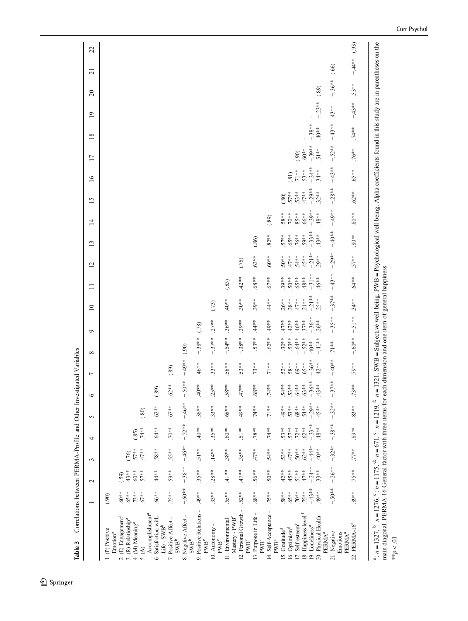<span id="page-7-0"></span>

| Correlations between PERMA-Profile and Other Investi<br>Table 3                                                                                                                                                                                                                                                                                                                                                    |                          |                    |                    |                          |                          |                      | gated Variables     |                    |                    |                     |                  |                 |                     |                     |                     |                    |                    |                   |         |                |                      |  |
|--------------------------------------------------------------------------------------------------------------------------------------------------------------------------------------------------------------------------------------------------------------------------------------------------------------------------------------------------------------------------------------------------------------------|--------------------------|--------------------|--------------------|--------------------------|--------------------------|----------------------|---------------------|--------------------|--------------------|---------------------|------------------|-----------------|---------------------|---------------------|---------------------|--------------------|--------------------|-------------------|---------|----------------|----------------------|--|
|                                                                                                                                                                                                                                                                                                                                                                                                                    | $\overline{\phantom{0}}$ | $\sim$             | $\epsilon$         | 4                        | 5                        | $\circ$              | 7                   | $\infty$           | $\circ$            | $\overline{10}$     | $\equiv$         | $\overline{c}$  | 13                  | $\overline{1}$      | 15                  | $\overline{16}$    | $\overline{17}$    | 18                | 19      | $\overline{c}$ | 22<br>$\overline{c}$ |  |
| (E) Engagement <sup>a</sup><br>1. (P) Positive<br>Emotion <sup>a</sup><br>$\dot{\sim}$                                                                                                                                                                                                                                                                                                                             | $^{***}$ 09.<br>(90)     | (.59)              |                    |                          |                          |                      |                     |                    |                    |                     |                  |                 |                     |                     |                     |                    |                    |                   |         |                |                      |  |
| 3. (R) Relatioship <sup>a</sup>                                                                                                                                                                                                                                                                                                                                                                                    | $5*86$ .                 | $43**$             | (76)               |                          |                          |                      |                     |                    |                    |                     |                  |                 |                     |                     |                     |                    |                    |                   |         |                |                      |  |
| 4. (M) Meaning <sup>a</sup><br>5. (A)                                                                                                                                                                                                                                                                                                                                                                              | $.73**$<br>$.67**$       | $*809.$<br>$57**$  | $.57**$<br>$.47**$ | $.74**$<br>(85)          | (.80)                    |                      |                     |                    |                    |                     |                  |                 |                     |                     |                     |                    |                    |                   |         |                |                      |  |
| Accomplishment <sup>a</sup>                                                                                                                                                                                                                                                                                                                                                                                        |                          |                    |                    |                          |                          |                      |                     |                    |                    |                     |                  |                 |                     |                     |                     |                    |                    |                   |         |                |                      |  |
| Satisfaction with<br>$Lie-SWB^b$<br>Ġ                                                                                                                                                                                                                                                                                                                                                                              | $.66**$                  | $44**$             | .58**              | $.64**$                  | $.62**$                  | (89)                 |                     |                    |                    |                     |                  |                 |                     |                     |                     |                    |                    |                   |         |                |                      |  |
| 7. Positive Affect<br>$\ensuremath{\mathrm{SWB}^{\mathrm{b}}}$                                                                                                                                                                                                                                                                                                                                                     | $.75***$                 | $.59**$            | $.55**$            | $.70**$                  | $.67**$                  | $.62**$              | (.89)               |                    |                    |                     |                  |                 |                     |                     |                     |                    |                    |                   |         |                |                      |  |
| 8. Negative Affect -<br>$\ensuremath{\mathrm{SWB}^\mathrm{b}}$                                                                                                                                                                                                                                                                                                                                                     | $-60**$                  | $-38**$            | $-46**$            | $-.52***$                | $-.46***$                | $-50**$              | $-49**$             | (90)               |                    |                     |                  |                 |                     |                     |                     |                    |                    |                   |         |                |                      |  |
| 9. Positive Relations -<br>PWB <sup>c</sup>                                                                                                                                                                                                                                                                                                                                                                        | $.49**$                  | $.35**$            | $51**$             | $.40**$                  | $.36**$                  | $40**$               | $.46**$             | $-38**$            | (78)               |                     |                  |                 |                     |                     |                     |                    |                    |                   |         |                |                      |  |
| 10. Autonomy<br>$\ensuremath{\mathrm{PWB}^c}\xspace$                                                                                                                                                                                                                                                                                                                                                               | $.33**$                  | $.28**$            | $.14**$            | $.35**$                  | $.33**$                  | $.25**$              | $.33**$             | $-37**$            | $.27**$            | (73)                |                  |                 |                     |                     |                     |                    |                    |                   |         |                |                      |  |
| Mastery - PWB <sup>c</sup><br>11. Environmental                                                                                                                                                                                                                                                                                                                                                                    | $55**$                   | $41**$             | $.38**$            | $.60**$                  | $***89.$                 | $58**$               | $.58**$             | $-.54**$           | $.36**$            | $.40**$             | (.83)            |                 |                     |                     |                     |                    |                    |                   |         |                |                      |  |
| 12. Personal Growth<br>PWB <sup>c</sup>                                                                                                                                                                                                                                                                                                                                                                            | $52***$                  | $47**$             | $35**$             | $.51**$                  | $49**$                   | $47**$               | $.53**$             | $-38**$            | $.39**$            | $.30**$             | $42**$           | (75)            |                     |                     |                     |                    |                    |                   |         |                |                      |  |
| $\mathbf{I}$<br>13. Purpose in Life<br>PW <sub>B</sub> <sup>c</sup>                                                                                                                                                                                                                                                                                                                                                | $**88.$                  | $.56**$            | $.47**$            | $.78**$                  | $74**$                   | $***89$ .            | $.73***$            | $-53**$            | $.44**$            | $.39***$            | $**89$ .         | $.63**$         | (.86)               |                     |                     |                    |                    |                   |         |                |                      |  |
| 14. Self-Acceptance<br>$\ensuremath{\mathrm{PWB}^c}\xspace$                                                                                                                                                                                                                                                                                                                                                        | $.75***$                 | $50**$             | $54**$             | $.74***$                 | $.71***$                 | $.74***$             | $.71**$             | $-.62**$           | $.49***$           | $44**$              | $.67***$         | $\ast\ast09$    | $.82***$            | (89)                |                     |                    |                    |                   |         |                |                      |  |
| 15. Gratitude <sup>d</sup>                                                                                                                                                                                                                                                                                                                                                                                         | $.58**$                  | $.42**$            | $.53***$           | $.53**$                  | $^{**}$ + $\!60^{\circ}$ | $.54***$             | $.52***$            | $-30**$            | $.47**$            | $.26***$            | $.39**$          | $50**$          | $.57***$            | $.58**$             | (.80)               |                    |                    |                   |         |                |                      |  |
| 16. Optimism <sup>d</sup>                                                                                                                                                                                                                                                                                                                                                                                          | $5*89$ .                 | $45**$             | $47**$             | $.57**$                  | $53**$                   | $\ddot{v}$<br>$.53*$ | 58**                | $-53**$            | $.42**$            | $.38**$             | $50**$           | $47**$          | .65**               | $.70**$             | $.57**$             | (81)               |                    |                   |         |                |                      |  |
| 17. Self-esteem <sup>e</sup>                                                                                                                                                                                                                                                                                                                                                                                       | $.70**$                  | $.51**$            | $50**$             | $.72**$                  | $**88.$                  | $.64**$              | $*80.66$            | $-64**$            | $.46**$            | $.47**$             | **59′            | $.54***$        | $.76**$             | $.85**$             | $.53**$             | $.71**$            | (90)               |                   |         |                |                      |  |
| 18. Happiness level <sup>f</sup>                                                                                                                                                                                                                                                                                                                                                                                   | $.75***$                 | $.47**$            | $.62**$            | $.62**$                  | $.54**$                  | $.63**$              | $.65**$             | $-.52**$           | $.37**$            | $.21**$             | $48**$           | 45**            | .59**               | $.66**$             | $.47**$             | $.53**$            | $^{***}09$         |                   |         |                |                      |  |
| 20. Physical Health<br>19. Loneliness <sup>a</sup>                                                                                                                                                                                                                                                                                                                                                                 | $-.43**$<br>$^{**}9**$   | $-24**$<br>$.33**$ | $-44**$<br>$40**$  | $-.33**$<br>$.48**$      | $-.29**$<br>$45**$       | $-36**$<br>$43**$    | $-.36**$<br>$.42**$ | $-41**$<br>$.40**$ | $-36**$<br>$.26**$ | $-21**$<br>$.25***$ | $-31**$<br>.46** | $-21**$<br>29** | $-.33**$<br>$.43**$ | $-39**$<br>$.48***$ | $-0.29**$<br>$32**$ | $-34**$<br>$.34**$ | $-39**$<br>$.51**$ | $-38**$<br>$40**$ | $-23**$ | (.89)          |                      |  |
| PERMA <sup>a</sup>                                                                                                                                                                                                                                                                                                                                                                                                 |                          |                    |                    |                          |                          |                      |                     |                    |                    |                     |                  |                 |                     |                     |                     |                    |                    |                   |         |                |                      |  |
| 21. Negative<br>PERMA <sup>ª</sup><br>Emotions                                                                                                                                                                                                                                                                                                                                                                     | $30**$                   | $-26**$            | $-32**$            | $-.38**$                 | $-32**$                  | $-.37***$            | $-40**$             | $.71**$            | $-35**$            | $-37**$             | $-43**$          | $-29**$         | $-40**$             | $-49**$             | $-28**$             | $-43**$            | $-52**$            | $-43**$           | $.43**$ | $-.36**$       | (0.66)               |  |
| 22. PERMA-16 <sup>ª</sup>                                                                                                                                                                                                                                                                                                                                                                                          | $^{**}$ 89               | $.75**$            | $.77**$            | $\boldsymbol{^{**}}$ 68. | $.83**$                  | $.73**$              | $.79**$             | $-.60**$           | $-.51**$           | $.34***$            | $.64**$          | $.57***$        | $80**$              | $^{\ast\ast08}$     | $.62**$             | $.65**$            | $.76**$            | $.74**$           | $-43**$ | $.53**$        | (93)<br>$-44**$      |  |
| <sup>a</sup> : $n = 1327$ , <sup>b:</sup> $n = 1776$ , <sup>c</sup> : $n = 1715$ , <sup>6</sup> : $n = 671$ , <sup>c</sup> : $n = 1219$ , <sup>f:</sup> $n = 1321$ . SWB = Subjective well-being. PWB = Psychological well-being. Alpha coefficients found in this study are in parentheses on the<br>main diagonal. PERMA-16 General factor with three items for each dimension and one item of general happiness |                          |                    |                    |                          |                          |                      |                     |                    |                    |                     |                  |                 |                     |                     |                     |                    |                    |                   |         |                |                      |  |
| $10. > 4$ **                                                                                                                                                                                                                                                                                                                                                                                                       |                          |                    |                    |                          |                          |                      |                     |                    |                    |                     |                  |                 |                     |                     |                     |                    |                    |                   |         |                |                      |  |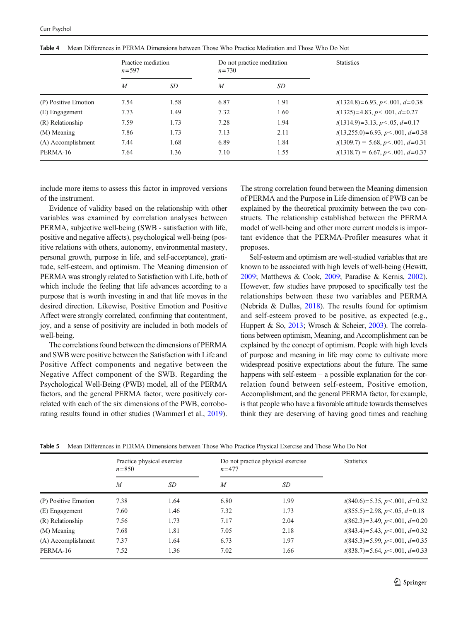|                      | Practice mediation<br>$n = 597$ |      | $n = 730$ | Do not practice meditation | <b>Statistics</b>                        |
|----------------------|---------------------------------|------|-----------|----------------------------|------------------------------------------|
|                      | $\overline{M}$                  | SD   | M         | SD                         |                                          |
| (P) Positive Emotion | 7.54                            | 1.58 | 6.87      | 1.91                       | $t(1324.8)=6.93, p<.001, d=0.38$         |
| (E) Engagement       | 7.73                            | 1.49 | 7.32      | 1.60                       | $t(1325)=4.83, p<.001, d=0.27$           |
| (R) Relationship     | 7.59                            | 1.73 | 7.28      | 1.94                       | $t(1314.9) = 3.13, p < .05, d = 0.17$    |
| (M) Meaning          | 7.86                            | 1.73 | 7.13      | 2.11                       | $t(13,255.0) = 6.93, p < .001, d = 0.38$ |
| (A) Accomplishment   | 7.44                            | 1.68 | 6.89      | 1.84                       | $t(1309.7) = 5.68, p < .001, d=0.31$     |
| PERMA-16             | 7.64                            | 1.36 | 7.10      | 1.55                       | $t(1318.7) = 6.67, p < .001, d=0.37$     |

<span id="page-8-0"></span>Table 4 Mean Differences in PERMA Dimensions between Those Who Practice Meditation and Those Who Do Not

include more items to assess this factor in improved versions of the instrument.

Evidence of validity based on the relationship with other variables was examined by correlation analyses between PERMA, subjective well-being (SWB - satisfaction with life, positive and negative affects), psychological well-being (positive relations with others, autonomy, environmental mastery, personal growth, purpose in life, and self-acceptance), gratitude, self-esteem, and optimism. The Meaning dimension of PERMA was strongly related to Satisfaction with Life, both of which include the feeling that life advances according to a purpose that is worth investing in and that life moves in the desired direction. Likewise, Positive Emotion and Positive Affect were strongly correlated, confirming that contentment, joy, and a sense of positivity are included in both models of well-being.

The correlations found between the dimensions of PERMA and SWB were positive between the Satisfaction with Life and Positive Affect components and negative between the Negative Affect component of the SWB. Regarding the Psychological Well-Being (PWB) model, all of the PERMA factors, and the general PERMA factor, were positively correlated with each of the six dimensions of the PWB, corroborating results found in other studies (Wammerl et al., [2019\)](#page-12-0).

The strong correlation found between the Meaning dimension of PERMA and the Purpose in Life dimension of PWB can be explained by the theoretical proximity between the two constructs. The relationship established between the PERMA model of well-being and other more current models is important evidence that the PERMA-Profiler measures what it proposes.

Self-esteem and optimism are well-studied variables that are known to be associated with high levels of well-being (Hewitt, [2009;](#page-11-0) Matthews & Cook, [2009;](#page-11-0) Paradise & Kernis, [2002\)](#page-11-0). However, few studies have proposed to specifically test the relationships between these two variables and PERMA (Nebrida & Dullas, [2018\)](#page-11-0). The results found for optimism and self-esteem proved to be positive, as expected (e.g., Huppert & So, [2013](#page-11-0); Wrosch & Scheier, [2003](#page-12-0)). The correlations between optimism, Meaning, and Accomplishment can be explained by the concept of optimism. People with high levels of purpose and meaning in life may come to cultivate more widespread positive expectations about the future. The same happens with self-esteem – a possible explanation for the correlation found between self-esteem, Positive emotion, Accomplishment, and the general PERMA factor, for example, is that people who have a favorable attitude towards themselves think they are deserving of having good times and reaching

|  |  |  | Table 5 Mean Differences in PERMA Dimensions between Those Who Practice Physical Exercise and Those Who Do Not |
|--|--|--|----------------------------------------------------------------------------------------------------------------|
|--|--|--|----------------------------------------------------------------------------------------------------------------|

|                      | $n = 850$      | Practice physical exercise | $n = 477$      | Do not practice physical exercise | <b>Statistics</b>               |
|----------------------|----------------|----------------------------|----------------|-----------------------------------|---------------------------------|
|                      | $\overline{M}$ | SD                         | $\overline{M}$ | SD                                |                                 |
| (P) Positive Emotion | 7.38           | 1.64                       | 6.80           | 1.99                              | $t(840.6)=5.35, p<.001, d=0.32$ |
| (E) Engagement       | 7.60           | 1.46                       | 7.32           | 1.73                              | $t(855.5)=2.98, p<.05, d=0.18$  |
| (R) Relationship     | 7.56           | 1.73                       | 7.17           | 2.04                              | $t(862.3)=3.49, p<.001, d=0.20$ |
| (M) Meaning          | 7.68           | 1.81                       | 7.05           | 2.18                              | $t(843.4)=5.43, p<.001, d=0.32$ |
| (A) Accomplishment   | 7.37           | 1.64                       | 6.73           | 1.97                              | $t(845.3)=5.99, p<.001, d=0.35$ |
| PERMA-16             | 7.52           | 1.36                       | 7.02           | 1.66                              | $t(838.7)=5.64, p<.001, d=0.33$ |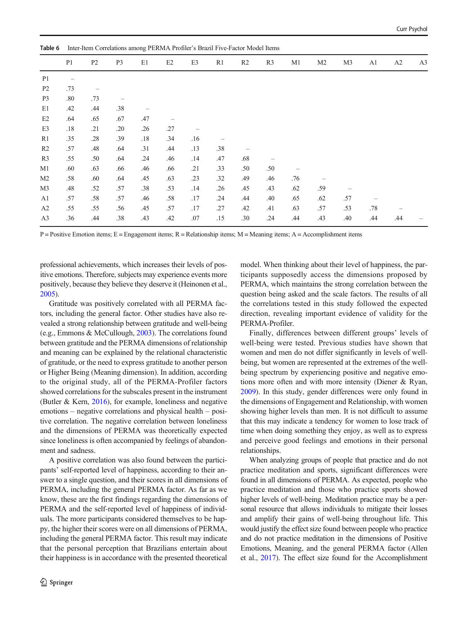<span id="page-9-0"></span>

| Table 6        | Inter-Item Correlations among PERMA Profiler's Brazil Five-Factor Model Items |                |                |     |     |     |                |                |                |     |                |                |     |     |                |
|----------------|-------------------------------------------------------------------------------|----------------|----------------|-----|-----|-----|----------------|----------------|----------------|-----|----------------|----------------|-----|-----|----------------|
|                | P <sub>1</sub>                                                                | P <sub>2</sub> | P <sub>3</sub> | E1  | E2  | E3  | R <sub>1</sub> | R <sub>2</sub> | R <sub>3</sub> | M1  | M <sub>2</sub> | M <sub>3</sub> | A1  | A2  | A <sub>3</sub> |
| P <sub>1</sub> | -                                                                             |                |                |     |     |     |                |                |                |     |                |                |     |     |                |
| P <sub>2</sub> | .73                                                                           |                |                |     |     |     |                |                |                |     |                |                |     |     |                |
| P <sub>3</sub> | .80                                                                           | .73            |                |     |     |     |                |                |                |     |                |                |     |     |                |
| E1             | .42                                                                           | .44            | .38            |     |     |     |                |                |                |     |                |                |     |     |                |
| E2             | .64                                                                           | .65            | .67            | .47 |     |     |                |                |                |     |                |                |     |     |                |
| E3             | .18                                                                           | .21            | .20            | .26 | .27 |     |                |                |                |     |                |                |     |     |                |
| R1             | .35                                                                           | .28            | .39            | .18 | .34 | .16 |                |                |                |     |                |                |     |     |                |
| R <sub>2</sub> | .57                                                                           | .48            | .64            | .31 | .44 | .13 | .38            |                |                |     |                |                |     |     |                |
| R <sub>3</sub> | .55                                                                           | .50            | .64            | .24 | .46 | .14 | .47            | .68            |                |     |                |                |     |     |                |
| M <sub>1</sub> | .60                                                                           | .63            | .66            | .46 | .66 | .21 | .33            | .50            | .50            |     |                |                |     |     |                |
| M <sub>2</sub> | .58                                                                           | .60            | .64            | .45 | .63 | .23 | .32            | .49            | .46            | .76 |                |                |     |     |                |
| M <sub>3</sub> | .48                                                                           | .52            | .57            | .38 | .53 | .14 | .26            | .45            | .43            | .62 | .59            |                |     |     |                |
| A1             | .57                                                                           | .58            | .57            | .46 | .58 | .17 | .24            | .44            | .40            | .65 | .62            | .57            |     |     |                |
| A2             | .55                                                                           | .55            | .56            | .45 | .57 | .17 | .27            | .42            | .41            | .63 | .57            | .53            | .78 |     |                |
| A <sub>3</sub> | .36                                                                           | .44            | .38            | .43 | .42 | .07 | .15            | .30            | .24            | .44 | .43            | .40            | .44 | .44 |                |

 $P =$  Positive Emotion items; E = Engagement items; R = Relationship items; M = Meaning items; A = Accomplishment items

professional achievements, which increases their levels of positive emotions. Therefore, subjects may experience events more positively, because they believe they deserve it (Heinonen et al., [2005](#page-11-0)).

Gratitude was positively correlated with all PERMA factors, including the general factor. Other studies have also revealed a strong relationship between gratitude and well-being (e.g., Emmons & McCullough, [2003](#page-10-0)). The correlations found between gratitude and the PERMA dimensions of relationship and meaning can be explained by the relational characteristic of gratitude, or the need to express gratitude to another person or Higher Being (Meaning dimension). In addition, according to the original study, all of the PERMA-Profiler factors showed correlations for the subscales present in the instrument (Butler & Kern, [2016](#page-10-0)), for example, loneliness and negative emotions – negative correlations and physical health – positive correlation. The negative correlation between loneliness and the dimensions of PERMA was theoretically expected since loneliness is often accompanied by feelings of abandonment and sadness.

A positive correlation was also found between the participants' self-reported level of happiness, according to their answer to a single question, and their scores in all dimensions of PERMA, including the general PERMA factor. As far as we know, these are the first findings regarding the dimensions of PERMA and the self-reported level of happiness of individuals. The more participants considered themselves to be happy, the higher their scores were on all dimensions of PERMA, including the general PERMA factor. This result may indicate that the personal perception that Brazilians entertain about their happiness is in accordance with the presented theoretical

model. When thinking about their level of happiness, the participants supposedly access the dimensions proposed by PERMA, which maintains the strong correlation between the question being asked and the scale factors. The results of all the correlations tested in this study followed the expected direction, revealing important evidence of validity for the PERMA-Profiler.

Finally, differences between different groups' levels of well-being were tested. Previous studies have shown that women and men do not differ significantly in levels of wellbeing, but women are represented at the extremes of the wellbeing spectrum by experiencing positive and negative emotions more often and with more intensity (Diener & Ryan, [2009\)](#page-10-0). In this study, gender differences were only found in the dimensions of Engagement and Relationship, with women showing higher levels than men. It is not difficult to assume that this may indicate a tendency for women to lose track of time when doing something they enjoy, as well as to express and perceive good feelings and emotions in their personal relationships.

When analyzing groups of people that practice and do not practice meditation and sports, significant differences were found in all dimensions of PERMA. As expected, people who practice meditation and those who practice sports showed higher levels of well-being. Meditation practice may be a personal resource that allows individuals to mitigate their losses and amplify their gains of well-being throughout life. This would justify the effect size found between people who practice and do not practice meditation in the dimensions of Positive Emotions, Meaning, and the general PERMA factor (Allen et al., [2017](#page-10-0)). The effect size found for the Accomplishment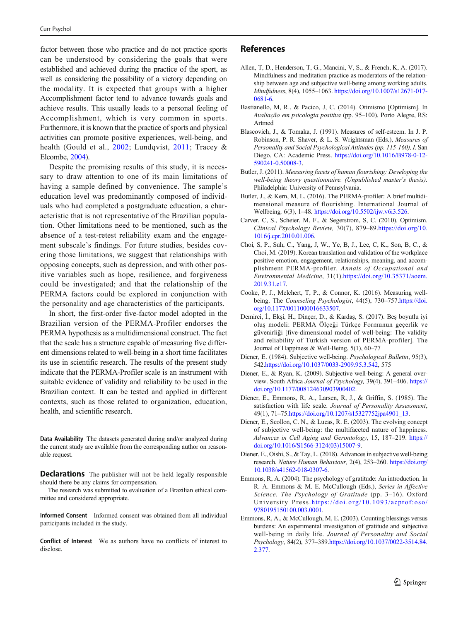<span id="page-10-0"></span>factor between those who practice and do not practice sports can be understood by considering the goals that were established and achieved during the practice of the sport, as well as considering the possibility of a victory depending on the modality. It is expected that groups with a higher Accomplishment factor tend to advance towards goals and achieve results. This usually leads to a personal feeling of Accomplishment, which is very common in sports. Furthermore, it is known that the practice of sports and physical activities can promote positive experiences, well-being, and health (Gould et al., [2002](#page-11-0); Lundqvist, [2011](#page-11-0); Tracey & Elcombe, [2004\)](#page-12-0).

Despite the promising results of this study, it is necessary to draw attention to one of its main limitations of having a sample defined by convenience. The sample's education level was predominantly composed of individuals who had completed a postgraduate education, a characteristic that is not representative of the Brazilian population. Other limitations need to be mentioned, such as the absence of a test-retest reliability exam and the engagement subscale's findings. For future studies, besides covering those limitations, we suggest that relationships with opposing concepts, such as depression, and with other positive variables such as hope, resilience, and forgiveness could be investigated; and that the relationship of the PERMA factors could be explored in conjunction with the personality and age characteristics of the participants.

In short, the first-order five-factor model adopted in the Brazilian version of the PERMA-Profiler endorses the PERMA hypothesis as a multidimensional construct. The fact that the scale has a structure capable of measuring five different dimensions related to well-being in a short time facilitates its use in scientific research. The results of the present study indicate that the PERMA-Profiler scale is an instrument with suitable evidence of validity and reliability to be used in the Brazilian context. It can be tested and applied in different contexts, such as those related to organization, education, health, and scientific research.

Data Availability The datasets generated during and/or analyzed during the current study are available from the corresponding author on reasonable request.

**Declarations** The publisher will not be held legally responsible should there be any claims for compensation.

The research was submitted to evaluation of a Brazilian ethical committee and considered appropriate.

Informed Consent Informed consent was obtained from all individual participants included in the study.

Conflict of Interest We as authors have no conflicts of interest to disclose.

#### References

- Allen, T, D., Henderson, T, G., Mancini, V, S., & French, K, A. (2017). Mindfulness and meditation practice as moderators of the relationship between age and subjective well-being among working adults. Mindfulness, 8(4), 1055–1063. [https://doi.org/10.1007/s12671-017-](https://doi.org/10.1007/s12671-017-0681-6) [0681-6](https://doi.org/10.1007/s12671-017-0681-6).
- Bastianello, M, R., & Pacico, J, C. (2014). Otimismo [Optimism]. In Avaliação em psicologia positiva (pp. 95–100). Porto Alegre, RS: Artmed
- Blascovich, J., & Tomaka, J. (1991). Measures of self-esteem. In J. P. Robinson, P. R. Shaver, & L. S. Wrightsman (Eds.), Measures of Personality and Social Psychological Attitudes (pp. 115-160), I. San Diego, CA: Academic Press. [https://doi.org/10.1016/B978-0-12-](https://doi.org/10.1016/B978-0-12-590241-0.50008-3) [590241-0.50008-3](https://doi.org/10.1016/B978-0-12-590241-0.50008-3).
- Butler, J. (2011). Measuring facets of human flourishing: Developing the well-being theory questionnaire. (Unpublished master's thesis). Philadelphia: University of Pennsylvania.
- Butler, J., & Kern, M, L. (2016). The PERMA-profiler: A brief multidimensional measure of flourishing. International Journal of Wellbeing, 6(3), 1–48. [https://doi.org/10.5502/ijw.v6i3.526.](https://doi.org/10.5502/ijw.v6i3.526)
- Carver, C, S., Scheier, M, F., & Segerstrom, S, C. (2010). Optimism. Clinical Psychology Review, 30(7), 879–89.[https://doi.org/10.](https://doi.org/10.1016/j.cpr.2010.01.006) [1016/j.cpr.2010.01.006.](https://doi.org/10.1016/j.cpr.2010.01.006)
- Choi, S, P., Suh, C., Yang, J, W., Ye, B, J., Lee, C, K., Son, B, C., & Choi, M. (2019). Korean translation and validation of the workplace positive emotion, engagement, relationships, meaning, and accomplishment PERMA-profiler. Annals of Occupational and Environmental Medicine, 31(1).[https://doi.org/10.35371/aoem.](https://doi.org/10.35371/aoem.2019.31.e17) [2019.31.e17.](https://doi.org/10.35371/aoem.2019.31.e17)
- Cooke, P, J., Melchert, T, P., & Connor, K. (2016). Measuring well-being. The Counseling Psychologist, 44(5), 730-757[.https://doi.](https://doi.org/10.1177/0011000016633507) [org/10.1177/0011000016633507](https://doi.org/10.1177/0011000016633507).
- Demirci, İ., Ekşi, H., Dinçer, D., & Kardaş, S. (2017). Beş boyutlu iyi oluş modeli: PERMA Ölçeği Türkçe Formunun geçerlik ve güvenirliği [five-dimensional model of well-being: The validity and reliability of Turkish version of PERMA-profiler]. The Journal of Happiness & Well-Being, 5(1), 60–77
- Diener, E. (1984). Subjective well-being. Psychological Bulletin, 95(3), 542[.https://doi.org/10.1037/0033-2909.95.3.542](https://doi.org/10.1037/0033-2909.95.3.542), 575
- Diener, E., & Ryan, K. (2009). Subjective well-being: A general overview. South Africa Journal of Psychology, 39(4), 391-406. [https://](https://doi.org/10.1177/008124630903900402) [doi.org/10.1177/008124630903900402](https://doi.org/10.1177/008124630903900402).
- Diener, E., Emmons, R, A., Larsen, R, J., & Griffin, S. (1985). The satisfaction with life scale. Journal of Personality Assessment, 49(1), 71–75.[https://doi.org/10.1207/s15327752jpa4901\\_13.](https://doi.org/10.1207/s15327752jpa4901_13)
- Diener, E., Scollon, C. N., & Lucas, R. E. (2003). The evolving concept of subjective well-being: the multifaceted nature of happiness. Advances in Cell Aging and Gerontology, 15, 187-219. [https://](https://doi.org/10.1016/S1566-3124(03)15007-9) [doi.org/10.1016/S1566-3124\(03\)15007-9.](https://doi.org/10.1016/S1566-3124(03)15007-9)
- Diener, E., Oishi, S., & Tay, L. (2018). Advances in subjective well-being research. Nature Human Behaviour, 2(4), 253–260. [https://doi.org/](https://doi.org/10.1038/s41562-018-0307-6) [10.1038/s41562-018-0307-6.](https://doi.org/10.1038/s41562-018-0307-6)
- Emmons, R, A. (2004). The psychology of gratitude: An introduction. In R. A. Emmons & M. E. McCullough (Eds.), Series in Affective Science. The Psychology of Gratitude (pp. 3-16). Oxford University Press.[https://doi.org/10.1093/acprof:oso/](https://doi.org/10.1093/acprof:oso/9780195150100.003.0001) [9780195150100.003.0001.](https://doi.org/10.1093/acprof:oso/9780195150100.003.0001)
- Emmons, R, A., & McCullough, M, E. (2003). Counting blessings versus burdens: An experimental investigation of gratitude and subjective well-being in daily life. Journal of Personality and Social Psychology, 84(2), 377–389[.https://doi.org/10.1037/0022-3514.84.](https://doi.org/10.1037/0022-3514.84.2.377) [2.377.](https://doi.org/10.1037/0022-3514.84.2.377)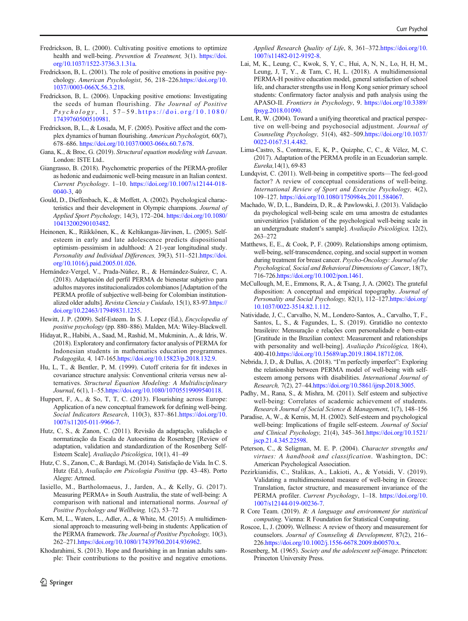- <span id="page-11-0"></span>Fredrickson, B, L. (2000). Cultivating positive emotions to optimize health and well-being. Prevention & Treatment, 3(1). [https://doi.](https://doi.org/10.1037/1522-3736.3.1.31a) [org/10.1037/1522-3736.3.1.31a](https://doi.org/10.1037/1522-3736.3.1.31a).
- Fredrickson, B, L. (2001). The role of positive emotions in positive psychology. American Psychologist, 56, 218–226[.https://doi.org/10.](https://doi.org/10.1037//0003-066X.56.3.218) [1037//0003-066X.56.3.218](https://doi.org/10.1037//0003-066X.56.3.218).
- Fredrickson, B, L. (2006). Unpacking positive emotions: Investigating the seeds of human flourishing. The Journal of Positive  $Psychology, 1, 57-59. <https://doi.org/10.1080/>$  $Psychology, 1, 57-59. <https://doi.org/10.1080/>$  $Psychology, 1, 57-59. <https://doi.org/10.1080/>$ [17439760500510981](https://doi.org/10.1080/17439760500510981).
- Fredrickson, B, L., & Losada, M, F. (2005). Positive affect and the complex dynamics of human flourishing. American Psychologist, 60(7), 678–686. [https://doi.org/10.1037/0003-066x.60.7.678.](https://doi.org/10.1037/0003-066x.60.7.678)
- Gana, K., & Broc, G. (2019). Structural equation modeling with Lavaan. London: ISTE Ltd..
- Giangrasso, B. (2018). Psychometric properties of the PERMA-profiler as hedonic and eudaimonic well-being measure in an Italian context. Current Psychology. 1–10. [https://doi.org/10.1007/s12144-018-](https://doi.org/10.1007/s12144-018-0040-3) [0040-3](https://doi.org/10.1007/s12144-018-0040-3), 40
- Gould, D., Dieffenbach, K., & Moffett, A. (2002). Psychological characteristics and their development in Olympic champions. Journal of Applied Sport Psychology, 14(3), 172–204. [https://doi.org/10.1080/](https://doi.org/10.1080/10413200290103482) [10413200290103482](https://doi.org/10.1080/10413200290103482).
- Heinonen, K., Räikkönen, K., & Keltikangas-Järvinen, L. (2005). Selfesteem in early and late adolescence predicts dispositional optimism–pessimism in adulthood: A 21-year longitudinal study. Personality and Individual Differences, 39(3), 511-521[.https://doi.](https://doi.org/10.1016/j.paid.2005.01.026) [org/10.1016/j.paid.2005.01.026.](https://doi.org/10.1016/j.paid.2005.01.026)
- Hernández-Vergel, V., Prada-Núñez, R., & Hernández-Suárez, C, A. (2018). Adaptación del perfil PERMA de bienestar subjetivo para adultos mayores institucionalizados colombianos [Adaptation of the PERMA profile of subjective well-being for Colombian institutionalized older adults]. Revista Ciencia y Cuidado, 15(1), 83-97.[https://](https://doi.org/10.22463/17949831.1235) [doi.org/10.22463/17949831.1235](https://doi.org/10.22463/17949831.1235).
- Hewitt, J. P. (2009). Self-Esteem. In S. J. Lopez (Ed.), Encyclopedia of positive psychology (pp. 880–886). Malden, MA: Wiley-Blackwell.
- Hidayat, R., Habibi, A., Saad, M., Rashid, M., Mukminin, A., & Idris, W. (2018). Exploratory and confirmatory factor analysis of PERMA for Indonesian students in mathematics education programmes. Pedagogika, 4, 147-165[.https://doi.org/10.15823/p.2018.132.9.](https://doi.org/10.15823/p.2018.132.9)
- Hu, L, T., & Bentler, P, M. (1999). Cutoff criteria for fit indexes in covariance structure analysis: Conventional criteria versus new alternatives. Structural Equation Modeling: A Multidisciplinary Journal, 6(1), 1–55[.https://doi.org/10.1080/10705519909540118](https://doi.org/10.1080/10705519909540118).
- Huppert, F, A., & So, T, T, C. (2013). Flourishing across Europe: Application of a new conceptual framework for defining well-being. Social Indicators Research, 110(3), 837–861[.https://doi.org/10.](https://doi.org/10.1007/s11205-011-9966-7) [1007/s11205-011-9966-7.](https://doi.org/10.1007/s11205-011-9966-7)
- Hutz, C, S., & Zanon, C. (2011). Revisão da adaptação, validação e normatização da Escala de Autoestima de Rosenberg [Review of adaptation, validation and standardization of the Rosenberg Self-Esteem Scale]. Avaliação Psicológica, 10(1), 41–49
- Hutz, C. S., Zanon, C., & Bardagi, M. (2014). Satisfação de Vida. In C. S. Hutz (Ed.), Avaliação em Psicologia Positiva (pp. 43–48). Porto Alegre: Artmed.
- Iasiello, M., Bartholomaeus, J., Jarden, A., & Kelly, G. (2017). Measuring PERMA+ in South Australia, the state of well-being: A comparison with national and international norms. Journal of Positive Psychology and Wellbeing, 1(2), 53–72
- Kern, M, L., Waters, L., Adler, A., & White, M. (2015). A multidimensional approach to measuring well-being in students: Application of the PERMA framework. The Journal of Positive Psychology, 10(3), 262–271.<https://doi.org/10.1080/17439760.2014.936962>.
- Khodarahimi, S. (2013). Hope and flourishing in an Iranian adults sample: Their contributions to the positive and negative emotions.

 $\mathcal{Q}$  Springer

Applied Research Quality of Life, 8, 361–372[.https://doi.org/10.](https://doi.org/10.1007/s11482-012-9192-8) [1007/s11482-012-9192-8.](https://doi.org/10.1007/s11482-012-9192-8)

- Lai, M, K., Leung, C., Kwok, S, Y, C., Hui, A, N, N., Lo, H, H, M., Leung, J, T, Y., & Tam, C, H, L. (2018). A multidimensional PERMA-H positive education model, general satisfaction of school life, and character strengths use in Hong Kong senior primary school students: Confirmatory factor analysis and path analysis using the APASO-II. Frontiers in Psychology, 9. [https://doi.org/10.3389/](https://doi.org/10.3389/fpsyg.2018.01090) [fpsyg.2018.01090.](https://doi.org/10.3389/fpsyg.2018.01090)
- Lent, R, W. (2004). Toward a unifying theoretical and practical perspective on well-being and psychosocial adjustment. Journal of Counseling Psychology, 51(4), 482–509.[https://doi.org/10.1037/](https://doi.org/10.1037/0022-0167.51.4.482) [0022-0167.51.4.482.](https://doi.org/10.1037/0022-0167.51.4.482)
- Lima-Castro, S., Contreras, E, K, P., Quizphe, C, C., & Vélez, M, C. (2017). Adaptation of the PERMA profile in an Ecuadorian sample. Eureka,14(1), 69-83
- Lundqvist, C. (2011). Well-being in competitive sports—The feel-good factor? A review of conceptual considerations of well-being. International Review of Sport and Exercise Psychology, 4(2), 109–127. [https://doi.org/10.1080/1750984x.2011.584067.](https://doi.org/10.1080/1750984x.2011.584067)
- Machado, W, D, L., Bandeira, D, R., & Pawlowski, J. (2013). Validação da psychological well-being scale em uma amostra de estudantes universitários [validation of the psychological well-being scale in an undergraduate student's sample]. Avaliação Psicológica, 12(2), 263–272
- Matthews, E, E., & Cook, P, F. (2009). Relationships among optimism, well-being, self-transcendence, coping, and social support in women during treatment for breast cancer. Psycho-Oncology: Journal of the Psychological, Social and Behavioral Dimensions of Cancer, 18(7), 716-726.[https://doi.org/10.1002/pon.1461.](https://doi.org/10.1002/pon.1461)
- McCullough, M, E., Emmons, R, A., & Tsang, J, A. (2002). The grateful disposition: A conceptual and empirical topography. Journal of Personality and Social Psychology, 82(1), 112-127[.https://doi.org/](https://doi.org/10.1037/0022-3514.82.1.112) [10.1037/0022-3514.82.1.112.](https://doi.org/10.1037/0022-3514.82.1.112)
- Natividade, J, C., Carvalho, N, M., Londero-Santos, A., Carvalho, T, F., Santos, L, S., & Fagundes, L, S. (2019). Gratidão no contexto brasileiro: Mensuração e relações com personalidade e bem-estar [Gratitude in the Brazilian context: Measurement and relationships with personality and well-being]. Avaliação Psicológica, 18(4), 400-410.[https://doi.org/10.15689/ap.2019.1804.18712.08.](https://doi.org/10.15689/ap.2019.1804.18712.08)
- Nebrida, J, D., & Dullas, A. (2018). "I'm perfectly imperfect": Exploring the relationship between PERMA model of well-being with selfesteem among persons with disabilities. International Journal of Research, 7(2), 27–44[.https://doi.org/10.5861/ijrsp.2018.3005.](https://doi.org/10.5861/ijrsp.2018.3005)
- Padhy, M., Rana, S., & Mishra, M. (2011). Self esteem and subjective well-being: Correlates of academic achievement of students. Research Journal of Social Science & Management, 1(7), 148–156
- Paradise, A, W., & Kernis, M, H. (2002). Self-esteem and psychological well-being: Implications of fragile self-esteem. Journal of Social and Clinical Psychology, 21(4), 345–361[.https://doi.org/10.1521/](https://doi.org/10.1521/jscp.21.4.345.22598) [jscp.21.4.345.22598.](https://doi.org/10.1521/jscp.21.4.345.22598)
- Peterson, C., & Seligman, M. E. P. (2004). Character strengths and virtues: A handbook and classification. Washington, DC: American Psychological Association.
- Pezirkianidis, C., Stalikas, A., Lakioti, A., & Yotsidi, V. (2019). Validating a multidimensional measure of well-being in Greece: Translation, factor structure, and measurement invariance of the PERMA profiler. Current Psychology, 1–18. [https://doi.org/10.](https://doi.org/10.1007/s12144-019-00236-7) [1007/s12144-019-00236-7.](https://doi.org/10.1007/s12144-019-00236-7)
- R Core Team. (2019). R: A language and environment for statistical computing. Vienna: R Foundation for Statistical Computing.
- Roscoe, L, J. (2009). Wellness: A review of theory and measurement for counselors. Journal of Counseling & Development, 87(2), 216– 226[.https://doi.org/10.1002/j.1556-6678.2009.tb00570.x](https://doi.org/10.1002/j.1556-6678.2009.tb00570.x).
- Rosenberg, M. (1965). Society and the adolescent self-image. Princeton: Princeton University Press.